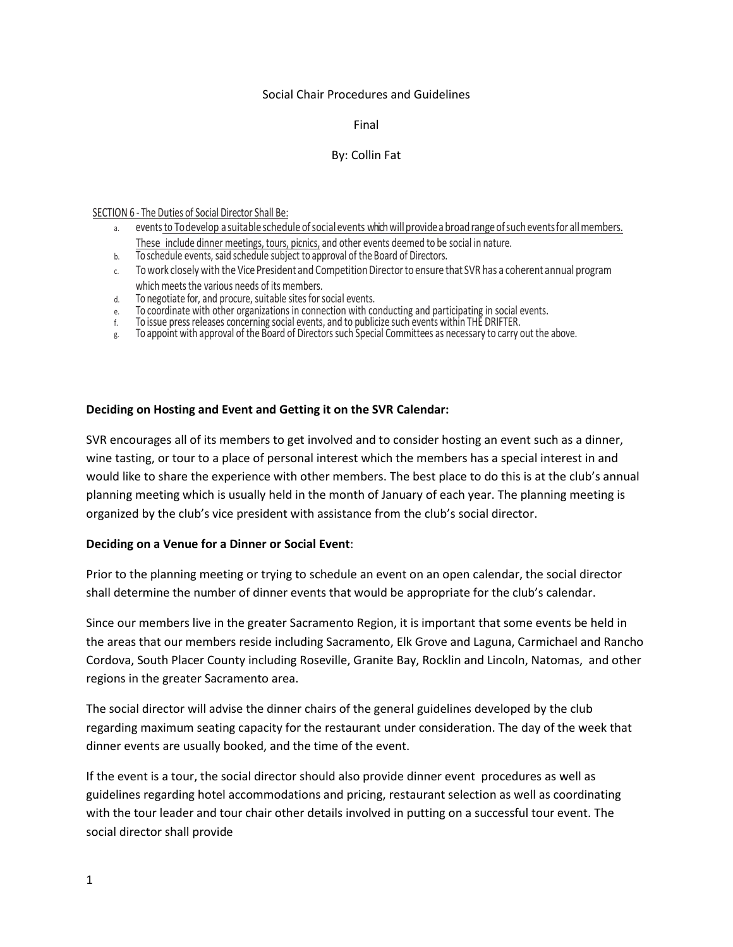### Social Chair Procedures and Guidelines

### Final

## By: Collin Fat

#### SECTION 6 - The Duties of Social Director Shall Be:

- a. events to Todevelop a suitable schedule of social events which will provide a broad range of such events for all members. These include dinner meetings, tours, picnics, and other events deemed to be social in nature.
- b. To schedule events, said schedule subject to approval of the Board of Directors.
- c. To work closely with the Vice President and Competition Director to ensure that SVR has a coherent annual program which meets the various needs of its members.
- d. To negotiate for, and procure, suitable sites for social events.
- e. To coordinate with other organizations in connection with conducting and participating in social events.
- f. To issue pressreleases concerning social events, and to publicize such events within THE DRIFTER.
- g. To appoint with approval of the Board of Directorssuch Special Committees as necessary to carry out the above.

### **Deciding on Hosting and Event and Getting it on the SVR Calendar:**

SVR encourages all of its members to get involved and to consider hosting an event such as a dinner, wine tasting, or tour to a place of personal interest which the members has a special interest in and would like to share the experience with other members. The best place to do this is at the club's annual planning meeting which is usually held in the month of January of each year. The planning meeting is organized by the club's vice president with assistance from the club's social director.

### **Deciding on a Venue for a Dinner or Social Event**:

Prior to the planning meeting or trying to schedule an event on an open calendar, the social director shall determine the number of dinner events that would be appropriate for the club's calendar.

Since our members live in the greater Sacramento Region, it is important that some events be held in the areas that our members reside including Sacramento, Elk Grove and Laguna, Carmichael and Rancho Cordova, South Placer County including Roseville, Granite Bay, Rocklin and Lincoln, Natomas, and other regions in the greater Sacramento area.

The social director will advise the dinner chairs of the general guidelines developed by the club regarding maximum seating capacity for the restaurant under consideration. The day of the week that dinner events are usually booked, and the time of the event.

If the event is a tour, the social director should also provide dinner event procedures as well as guidelines regarding hotel accommodations and pricing, restaurant selection as well as coordinating with the tour leader and tour chair other details involved in putting on a successful tour event. The social director shall provide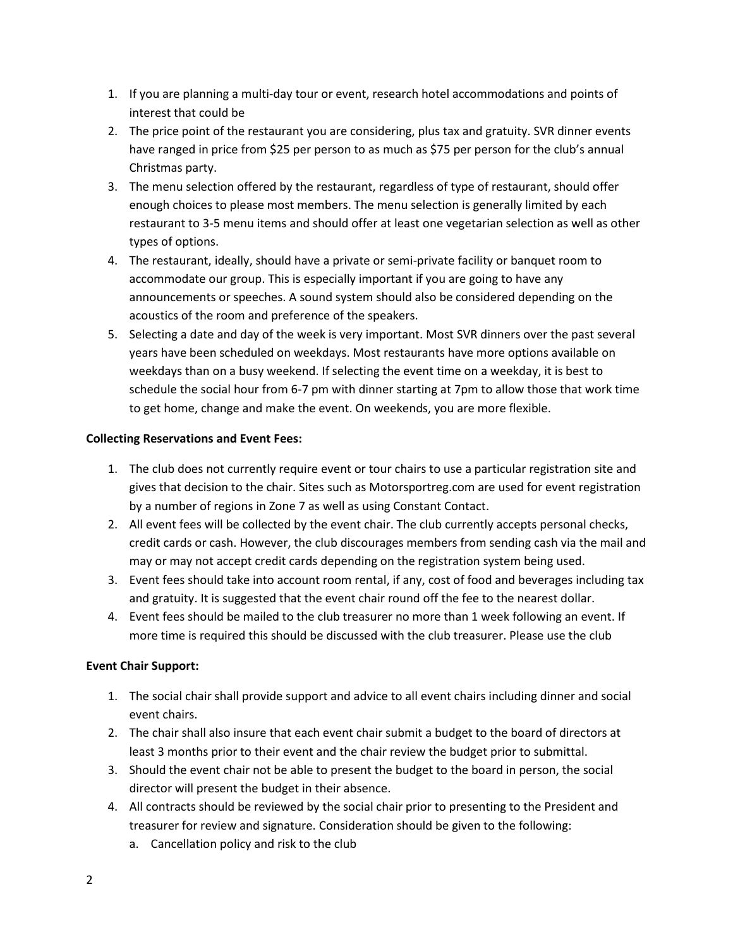- 1. If you are planning a multi-day tour or event, research hotel accommodations and points of interest that could be
- 2. The price point of the restaurant you are considering, plus tax and gratuity. SVR dinner events have ranged in price from \$25 per person to as much as \$75 per person for the club's annual Christmas party.
- 3. The menu selection offered by the restaurant, regardless of type of restaurant, should offer enough choices to please most members. The menu selection is generally limited by each restaurant to 3-5 menu items and should offer at least one vegetarian selection as well as other types of options.
- 4. The restaurant, ideally, should have a private or semi-private facility or banquet room to accommodate our group. This is especially important if you are going to have any announcements or speeches. A sound system should also be considered depending on the acoustics of the room and preference of the speakers.
- 5. Selecting a date and day of the week is very important. Most SVR dinners over the past several years have been scheduled on weekdays. Most restaurants have more options available on weekdays than on a busy weekend. If selecting the event time on a weekday, it is best to schedule the social hour from 6-7 pm with dinner starting at 7pm to allow those that work time to get home, change and make the event. On weekends, you are more flexible.

# **Collecting Reservations and Event Fees:**

- 1. The club does not currently require event or tour chairs to use a particular registration site and gives that decision to the chair. Sites such as Motorsportreg.com are used for event registration by a number of regions in Zone 7 as well as using Constant Contact.
- 2. All event fees will be collected by the event chair. The club currently accepts personal checks, credit cards or cash. However, the club discourages members from sending cash via the mail and may or may not accept credit cards depending on the registration system being used.
- 3. Event fees should take into account room rental, if any, cost of food and beverages including tax and gratuity. It is suggested that the event chair round off the fee to the nearest dollar.
- 4. Event fees should be mailed to the club treasurer no more than 1 week following an event. If more time is required this should be discussed with the club treasurer. Please use the club

# **Event Chair Support:**

- 1. The social chair shall provide support and advice to all event chairs including dinner and social event chairs.
- 2. The chair shall also insure that each event chair submit a budget to the board of directors at least 3 months prior to their event and the chair review the budget prior to submittal.
- 3. Should the event chair not be able to present the budget to the board in person, the social director will present the budget in their absence.
- 4. All contracts should be reviewed by the social chair prior to presenting to the President and treasurer for review and signature. Consideration should be given to the following:
	- a. Cancellation policy and risk to the club